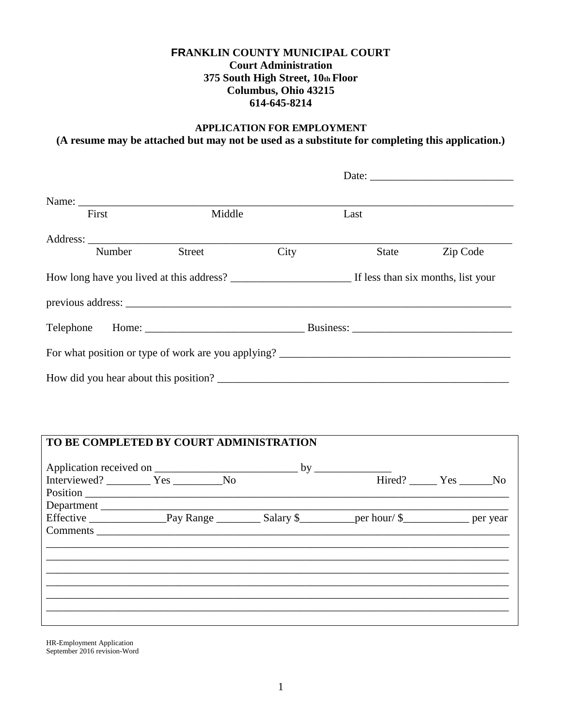### **FRANKLIN COUNTY MUNICIPAL COURT Court Administration 375 South High Street, 10th Floor Columbus, Ohio 43215 614-645-8214**

## **APPLICATION FOR EMPLOYMENT (A resume may be attached but may not be used as a substitute for completing this application.)**

|        |                                   |      |       | Date:    |
|--------|-----------------------------------|------|-------|----------|
|        |                                   |      |       |          |
| First  | Middle                            |      | Last  |          |
|        |                                   |      |       |          |
| Number | Street                            | City | State | Zip Code |
|        |                                   |      |       |          |
|        |                                   |      |       |          |
|        | Telephone Home: Now the Business: |      |       |          |
|        |                                   |      |       |          |
|        |                                   |      |       |          |

# **TO BE COMPLETED BY COURT ADMINISTRATION**

| Interviewed? ___________ Yes ___________ No |  | Hired? Yes No |
|---------------------------------------------|--|---------------|
| Position                                    |  |               |
| Department                                  |  |               |
|                                             |  |               |
|                                             |  |               |
|                                             |  |               |
|                                             |  |               |
|                                             |  |               |
|                                             |  |               |
|                                             |  |               |
|                                             |  |               |
|                                             |  |               |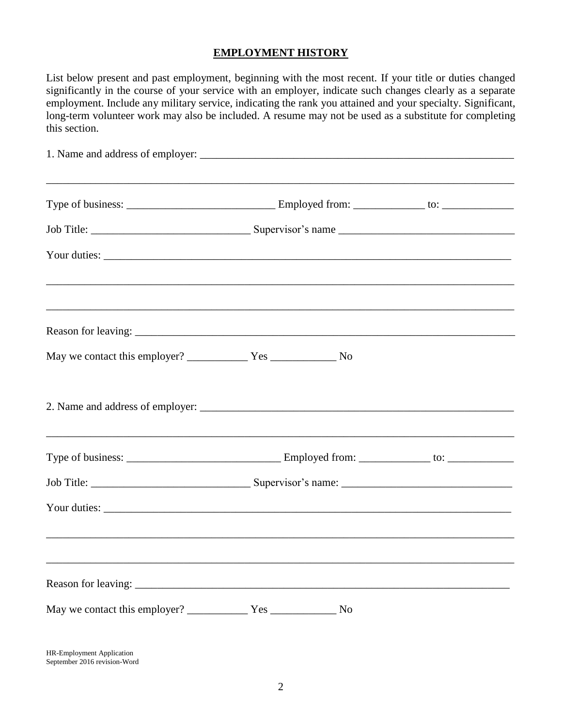## **EMPLOYMENT HISTORY**

List below present and past employment, beginning with the most recent. If your title or duties changed significantly in the course of your service with an employer, indicate such changes clearly as a separate employment. Include any military service, indicating the rank you attained and your specialty. Significant, long-term volunteer work may also be included. A resume may not be used as a substitute for completing this section.

| ,我们也不能在这里的时候,我们也不能在这里的时候,我们也不能在这里的时候,我们也不能会不能会不能会不能会不能会不能会不能会不能会。<br>第2012章 我们的时候,我们的时候,我们的时候,我们的时候,我们的时候,我们的时候,我们的时候,我们的时候,我们的时候,我们的时候,我们的时候,我们的时候,我 |  |  |
|-------------------------------------------------------------------------------------------------------------------------------------------------------|--|--|
|                                                                                                                                                       |  |  |
|                                                                                                                                                       |  |  |
| ,一个人的人都是一个人的人,我们就是一个人的人,我们就是一个人的人,我们就是一个人的人,我们就是一个人的人,我们就是一个人的人,我们就是一个人的人,我们就是一个人                                                                     |  |  |
|                                                                                                                                                       |  |  |
|                                                                                                                                                       |  |  |
|                                                                                                                                                       |  |  |
|                                                                                                                                                       |  |  |
|                                                                                                                                                       |  |  |
|                                                                                                                                                       |  |  |
|                                                                                                                                                       |  |  |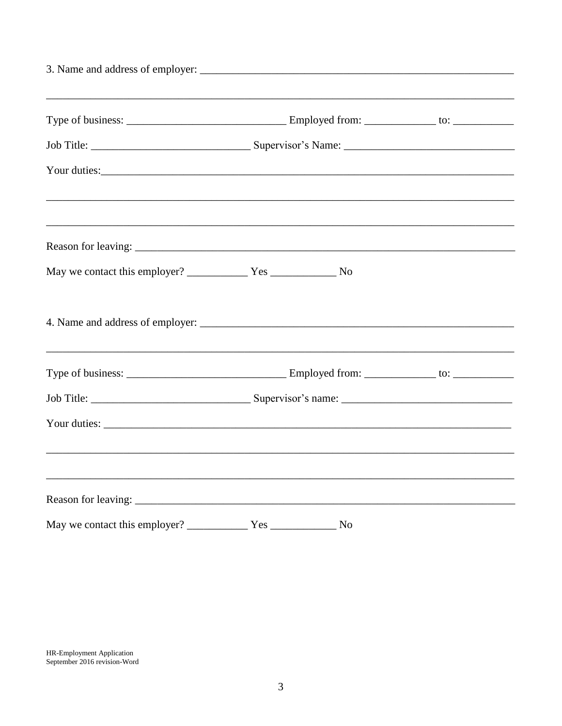| Your duties: Note that the contract of the contract of the contract of the contract of the contract of the contract of the contract of the contract of the contract of the contract of the contract of the contract of the con |  |
|--------------------------------------------------------------------------------------------------------------------------------------------------------------------------------------------------------------------------------|--|
|                                                                                                                                                                                                                                |  |
|                                                                                                                                                                                                                                |  |
|                                                                                                                                                                                                                                |  |
|                                                                                                                                                                                                                                |  |
|                                                                                                                                                                                                                                |  |
|                                                                                                                                                                                                                                |  |
|                                                                                                                                                                                                                                |  |
|                                                                                                                                                                                                                                |  |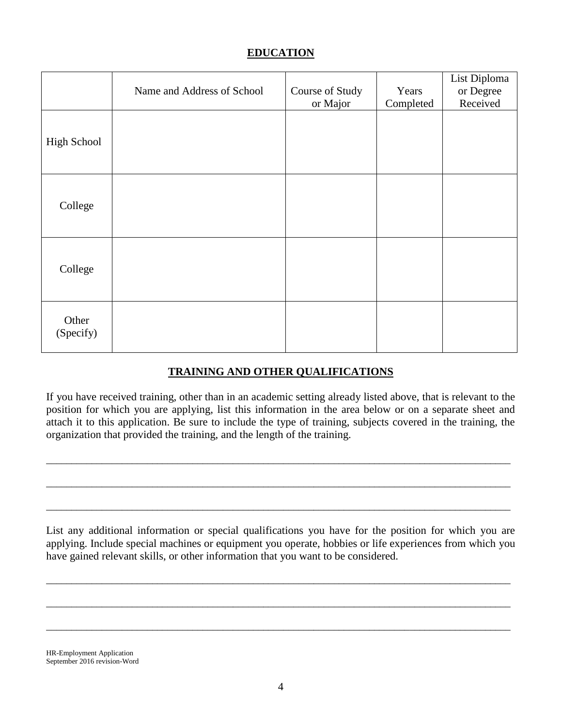## **EDUCATION**

|                    | Name and Address of School | Course of Study<br>or Major | Years<br>Completed | List Diploma<br>or Degree<br>Received |
|--------------------|----------------------------|-----------------------------|--------------------|---------------------------------------|
| High School        |                            |                             |                    |                                       |
| College            |                            |                             |                    |                                       |
| College            |                            |                             |                    |                                       |
| Other<br>(Specify) |                            |                             |                    |                                       |

## **TRAINING AND OTHER QUALIFICATIONS**

If you have received training, other than in an academic setting already listed above, that is relevant to the position for which you are applying, list this information in the area below or on a separate sheet and attach it to this application. Be sure to include the type of training, subjects covered in the training, the organization that provided the training, and the length of the training.

\_\_\_\_\_\_\_\_\_\_\_\_\_\_\_\_\_\_\_\_\_\_\_\_\_\_\_\_\_\_\_\_\_\_\_\_\_\_\_\_\_\_\_\_\_\_\_\_\_\_\_\_\_\_\_\_\_\_\_\_\_\_\_\_\_\_\_\_\_\_\_\_\_\_\_\_\_\_\_\_\_\_\_\_\_\_\_\_\_\_\_\_

\_\_\_\_\_\_\_\_\_\_\_\_\_\_\_\_\_\_\_\_\_\_\_\_\_\_\_\_\_\_\_\_\_\_\_\_\_\_\_\_\_\_\_\_\_\_\_\_\_\_\_\_\_\_\_\_\_\_\_\_\_\_\_\_\_\_\_\_\_\_\_\_\_\_\_\_\_\_\_\_\_\_\_\_\_\_\_\_\_\_\_\_

\_\_\_\_\_\_\_\_\_\_\_\_\_\_\_\_\_\_\_\_\_\_\_\_\_\_\_\_\_\_\_\_\_\_\_\_\_\_\_\_\_\_\_\_\_\_\_\_\_\_\_\_\_\_\_\_\_\_\_\_\_\_\_\_\_\_\_\_\_\_\_\_\_\_\_\_\_\_\_\_\_\_\_\_\_\_\_\_\_\_\_\_

List any additional information or special qualifications you have for the position for which you are applying. Include special machines or equipment you operate, hobbies or life experiences from which you have gained relevant skills, or other information that you want to be considered.

\_\_\_\_\_\_\_\_\_\_\_\_\_\_\_\_\_\_\_\_\_\_\_\_\_\_\_\_\_\_\_\_\_\_\_\_\_\_\_\_\_\_\_\_\_\_\_\_\_\_\_\_\_\_\_\_\_\_\_\_\_\_\_\_\_\_\_\_\_\_\_\_\_\_\_\_\_\_\_\_\_\_\_\_\_\_\_\_\_\_\_\_

\_\_\_\_\_\_\_\_\_\_\_\_\_\_\_\_\_\_\_\_\_\_\_\_\_\_\_\_\_\_\_\_\_\_\_\_\_\_\_\_\_\_\_\_\_\_\_\_\_\_\_\_\_\_\_\_\_\_\_\_\_\_\_\_\_\_\_\_\_\_\_\_\_\_\_\_\_\_\_\_\_\_\_\_\_\_\_\_\_\_\_\_

\_\_\_\_\_\_\_\_\_\_\_\_\_\_\_\_\_\_\_\_\_\_\_\_\_\_\_\_\_\_\_\_\_\_\_\_\_\_\_\_\_\_\_\_\_\_\_\_\_\_\_\_\_\_\_\_\_\_\_\_\_\_\_\_\_\_\_\_\_\_\_\_\_\_\_\_\_\_\_\_\_\_\_\_\_\_\_\_\_\_\_\_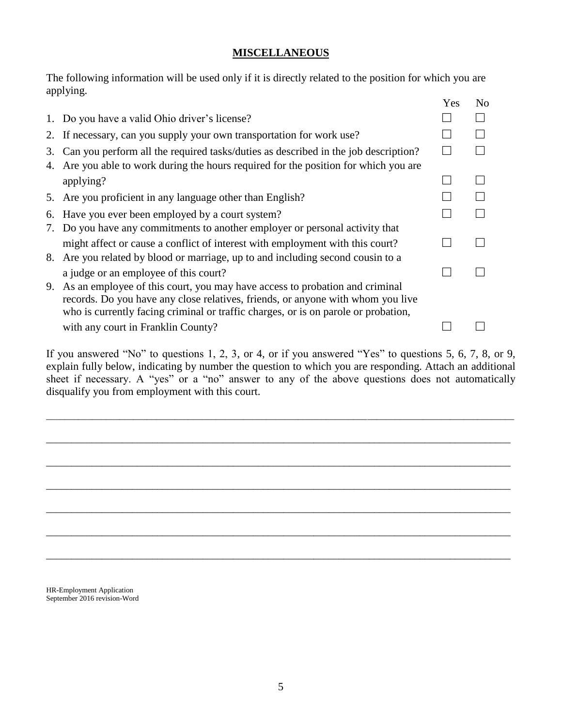### **MISCELLANEOUS**

The following information will be used only if it is directly related to the position for which you are applying. Yes No

|          |                                                                                                                                                                                                                                                      | 1 U.S | 1 V V |
|----------|------------------------------------------------------------------------------------------------------------------------------------------------------------------------------------------------------------------------------------------------------|-------|-------|
|          | 1. Do you have a valid Ohio driver's license?                                                                                                                                                                                                        |       |       |
|          | 2. If necessary, can you supply your own transportation for work use?                                                                                                                                                                                |       |       |
| 3.<br>4. | Can you perform all the required tasks/duties as described in the job description?<br>Are you able to work during the hours required for the position for which you are                                                                              |       |       |
|          | applying?                                                                                                                                                                                                                                            |       |       |
|          | 5. Are you proficient in any language other than English?                                                                                                                                                                                            |       |       |
| 6.       | Have you ever been employed by a court system?                                                                                                                                                                                                       |       |       |
|          | 7. Do you have any commitments to another employer or personal activity that                                                                                                                                                                         |       |       |
|          | might affect or cause a conflict of interest with employment with this court?                                                                                                                                                                        |       |       |
|          | 8. Are you related by blood or marriage, up to and including second cousin to a                                                                                                                                                                      |       |       |
|          | a judge or an employee of this court?                                                                                                                                                                                                                |       |       |
| 9.       | As an employee of this court, you may have access to probation and criminal<br>records. Do you have any close relatives, friends, or anyone with whom you live<br>who is currently facing criminal or traffic charges, or is on parole or probation, |       |       |
|          | with any court in Franklin County?                                                                                                                                                                                                                   |       |       |

If you answered "No" to questions 1, 2, 3, or 4, or if you answered "Yes" to questions 5, 6, 7, 8, or 9, explain fully below, indicating by number the question to which you are responding. Attach an additional sheet if necessary. A "yes" or a "no" answer to any of the above questions does not automatically disqualify you from employment with this court.

\_\_\_\_\_\_\_\_\_\_\_\_\_\_\_\_\_\_\_\_\_\_\_\_\_\_\_\_\_\_\_\_\_\_\_\_\_\_\_\_\_\_\_\_\_\_\_\_\_\_\_\_\_\_\_\_\_\_\_\_\_\_\_\_\_\_\_\_\_\_\_\_\_\_\_\_\_\_\_\_\_\_\_\_\_\_\_\_\_\_\_\_\_\_\_\_\_\_\_\_\_\_

\_\_\_\_\_\_\_\_\_\_\_\_\_\_\_\_\_\_\_\_\_\_\_\_\_\_\_\_\_\_\_\_\_\_\_\_\_\_\_\_\_\_\_\_\_\_\_\_\_\_\_\_\_\_\_\_\_\_\_\_\_\_\_\_\_\_\_\_\_\_\_\_\_\_\_\_\_\_\_\_\_\_\_\_\_\_\_\_\_\_\_\_

\_\_\_\_\_\_\_\_\_\_\_\_\_\_\_\_\_\_\_\_\_\_\_\_\_\_\_\_\_\_\_\_\_\_\_\_\_\_\_\_\_\_\_\_\_\_\_\_\_\_\_\_\_\_\_\_\_\_\_\_\_\_\_\_\_\_\_\_\_\_\_\_\_\_\_\_\_\_\_\_\_\_\_\_\_\_\_\_\_\_\_\_

\_\_\_\_\_\_\_\_\_\_\_\_\_\_\_\_\_\_\_\_\_\_\_\_\_\_\_\_\_\_\_\_\_\_\_\_\_\_\_\_\_\_\_\_\_\_\_\_\_\_\_\_\_\_\_\_\_\_\_\_\_\_\_\_\_\_\_\_\_\_\_\_\_\_\_\_\_\_\_\_\_\_\_\_\_\_\_\_\_\_\_\_

\_\_\_\_\_\_\_\_\_\_\_\_\_\_\_\_\_\_\_\_\_\_\_\_\_\_\_\_\_\_\_\_\_\_\_\_\_\_\_\_\_\_\_\_\_\_\_\_\_\_\_\_\_\_\_\_\_\_\_\_\_\_\_\_\_\_\_\_\_\_\_\_\_\_\_\_\_\_\_\_\_\_\_\_\_\_\_\_\_\_\_\_

\_\_\_\_\_\_\_\_\_\_\_\_\_\_\_\_\_\_\_\_\_\_\_\_\_\_\_\_\_\_\_\_\_\_\_\_\_\_\_\_\_\_\_\_\_\_\_\_\_\_\_\_\_\_\_\_\_\_\_\_\_\_\_\_\_\_\_\_\_\_\_\_\_\_\_\_\_\_\_\_\_\_\_\_\_\_\_\_\_\_\_\_

\_\_\_\_\_\_\_\_\_\_\_\_\_\_\_\_\_\_\_\_\_\_\_\_\_\_\_\_\_\_\_\_\_\_\_\_\_\_\_\_\_\_\_\_\_\_\_\_\_\_\_\_\_\_\_\_\_\_\_\_\_\_\_\_\_\_\_\_\_\_\_\_\_\_\_\_\_\_\_\_\_\_\_\_\_\_\_\_\_\_\_\_